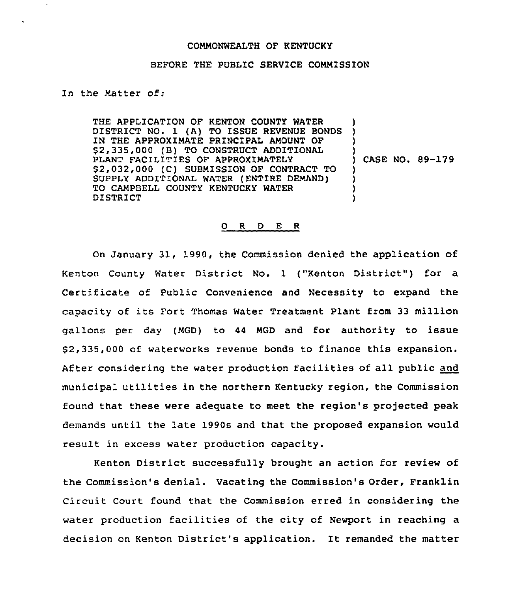## COMMONWEALTH OF KENTUCKY

## BEFORE THE PUBLIC SERVICE COMMISSION

In the Matter of:

THE APPLICATION OF KENTON COUNTY WATER DISTRICT NO. 1 (A) TO ISSUE REVENUE BONDS IN THE APPROXIMATE PRINCIPAL AMOUNT OF \$ 2,335,000 (B) TO CONSTRUCT ADDITIONAL PLANT FACILITIES OF APPROXIMATELY 52,032,000 (C) SUBMISSION OF CONTRACT TO SUPPLY ADDITIONAL WATER (ENTIRE DEMAND) TO CAMPBELL COUNTY KENTUCKY WATER DISTRICT ) ) ) ) ) CASE NO. 89-179 ) ) ) )

## 0 R <sup>D</sup> E R

On January 31, 1990, the Commission denied the application of Kenton County Water District No. 1 ("Kenton District") for a Certificate of Public Convenience and Necessity to expand the capacity of its Fort Thomas Water Treatment Plant from <sup>33</sup> million gallons per day (MGD) to 44 MGD and for authority to issue 52,335,000 of waterworks revenue bonds to finance this expansion. After considering the water production facilities of all public and municipal utilities in the northern Kentucky region, the Commission found that these were adequate to meet the region's projected peak demands until the late 1990s and that the proposed expansion would result in excess water production capacity.

Kenton District successfully brought an action for review of the Commission's denial. Vacating the Commission's Order, Franklin Circuit Court found that the Commission erred in considering the water production facilities of the city of Newport in reaching a decision on Kenton District's application. It remanded the matter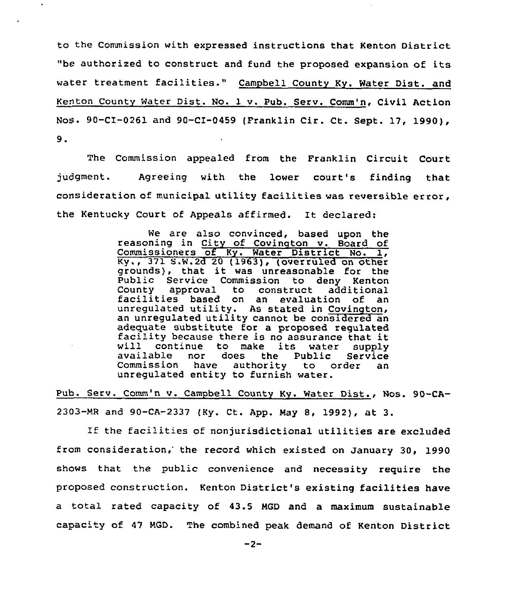to the Commission with expressed instructions that Kenton District "be authorized to construct and fund the proposed expansion of its water treatment facilities." Campbell County Ky. Water Dist. and Kenton County Water Dist. No. 1 v. Pub. Serv. Comm'n, Civil Action Nos. 90-CI-0261 and 90-CI-0459 (Franklin Cir. Ct. Sept. 17, 1990),  $9.$ 

The Commission appealed from the Franklin Circuit Court judgment. Agreeing with the lower court's finding that consideration of municipal utility facilities was reversible error, the Kentucky Court of Appeals affirmed. It declared:

> We are also convinced, based upon the reasoning in City of Covinqton v. Board of Commissioners of Ky. Water District No. 1, Ky., 371 S.W.2d 20 (1963), (overruled on other grounds), that it was unreasonable for the Public Service Commission to deny Kenton facilities based on an evaluation of an unregulated utility. As stated in Covington, an unregulated utility cannot be considered an adequate substitute for <sup>a</sup> proposed regulated facility because there is no assurance that it will continue to make its water supply available nor does the Public Service Commission unregulated entity to furnish water.

Pub. Serv. Comm'n v. Campbell Countv Kv. Water Dist., Nos. 90-CA-2303-MR and 90-CA-2337 (Ky. Ct. App. May 8, 1992), at 3.

If the facilities of nonjurisdictional utilities are excluded from consideration, the record which existed on January 30. 1990 shows that the public convenience and necessity require the proposed construction. Kenton District's existing facilities have a total rated capacity of 43.5 MGD and a maximum sustainable capacity of <sup>47</sup> MGD. The combined peak demand of Kenton District

 $-2-$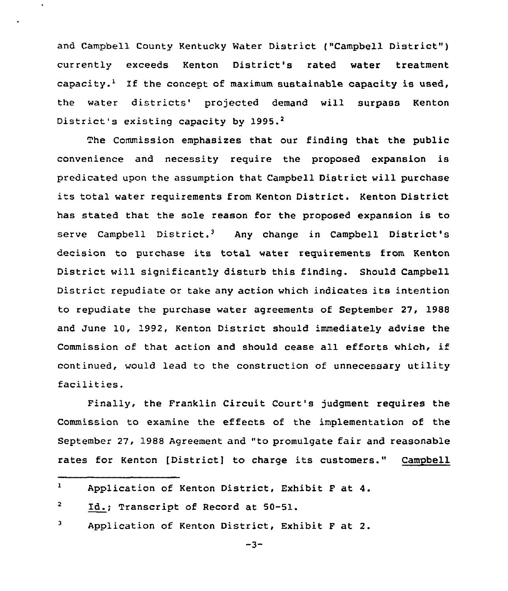and Campbell County Kentucky Mater District {"Campbell District" ) currently exceeds Kenton District's rated water treatment capacity.<sup>1</sup> If the concept of maximum sustainable capacity is used, the water districts' projected demand will surpass Kenton District's existing capacity by 1995.<sup>2</sup>

The Commission emphasizes that our finding that the public convenience and necessity require the proposed expansion is predicated upon the assumption that Campbell District will purchase its total water requirements from Kenton District. Kenton District has stated that the sole reason for the proposed expansion is to serve Campbell District.<sup>3</sup> Any change in Campbell District's decision to purchase its total water requirements from Kenton District will significantly disturb this finding. Should Campbell District repudiate or take any action which indicates its intention to repudiate the purchase water agreements of September 27, 1988 and June 10, 1992, Kenton District should immediately advise the Commission of that action and should cease all efforts which, if continued, would lead to the construction of unnecessary utility facilities.

Finally, the Franklin Circuit Court's judgment requires the Commission to examine the effects of the implementation of the September 27, 1988 Agreement and "to promulgate fair and reasonable rates for Kenton [District] to charge its customers." Campbell

3 Application of Kenton District, Exhibit F at 2.

 $\mathbf{1}$ Application of Kenton District, Exhibit F at 4.

<sup>2</sup> Id.; Transcript of Record at 50-51.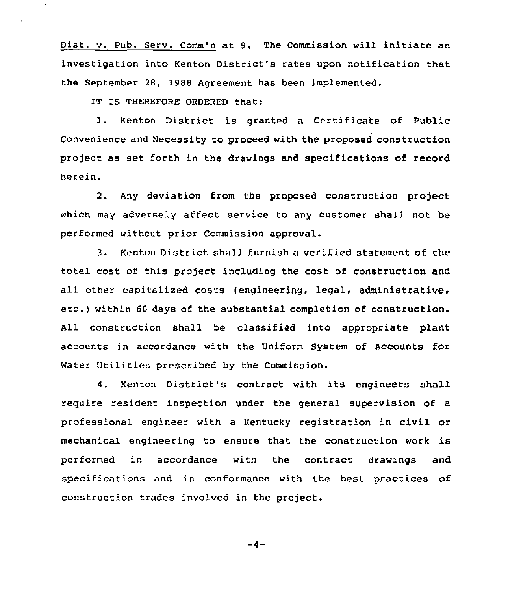Dist. v. pub. Serv. Comm'n at 9. The Commission will initiate an investigation into Kenton District's rates upon notification that the September 28, 1988 Agreement has been implemented.

IT IS THEREFORE ORDERED that:

1. Kenton District is granted <sup>a</sup> Certificate of Public Convenience and Necessity to proceed with the proposed construction project as set forth in the drawings and specifications of record herein.

2. Any deviation from the proposed construction project which may adversely affect service to any customer shall not be performed without prior Commission approval.

3. Kenton District shall furnish a verified statement of the total cost of this project including the cost of construction and all other capitalized costs (engineering, legal, administrative, etc.) within <sup>60</sup> days of the substantial completion of construction. All construction shall be classified into appropriate plant accounts in accordance with the Uniform System of Accounts for Water Utilities prescribed by the Commission.

4. Kenton District's contract with its engineers shall reguire resident inspection under the general supervision of a professional engineer with a Kentucky registration in civil or mechanical engineering to ensure that the construction work is performed in accordance with the contract drawings and specifications and in conformance with the best practices of construction trades involved in the project.

$$
-4-
$$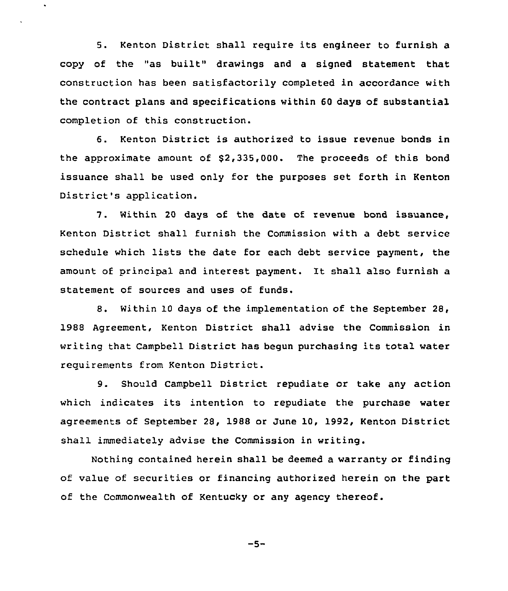5. Kenton District shall require its engineer to furnish a copy of the "as built" drawings and <sup>a</sup> signed statement that construction has been satisfactorily completed in accordance with the contract plans and specifications within 60 days of substantial completion of this construction.

6. Kenton District is authorized to issue revenue bonds in the approximate amount of  $$2,335,000$ . The proceeds of this bond issuance shall be used only for the purposes set forth in Kenton District's application.

7. Within <sup>20</sup> days of the date of revenue bond issuance, Kenton District shall furnish the Commission with a debt service schedule which lists the date for each debt service payment, the amount of principal and interest payment. It shall also furnish a statement of sources and uses of funds.

8. Within 10 days of the implementation of the September 28, 1988 Agreement, Kenton District shall advise the Commission in writing that Campbell District has begun purchasing its total water requirements from Kenton District.

9. Should Campbell District repudiate or take any action which indicates its intention to repudiate the purchase water agreements of September 28, 1988 or June 10, 1992, Kenton District shall immediately advise the Commission in writing.

Nothing contained herein shall be deemed a warranty or finding of value of securities or financing authorized herein on the part of the Commonwealth of Kentucky or any agency thereof.

$$
-5-
$$